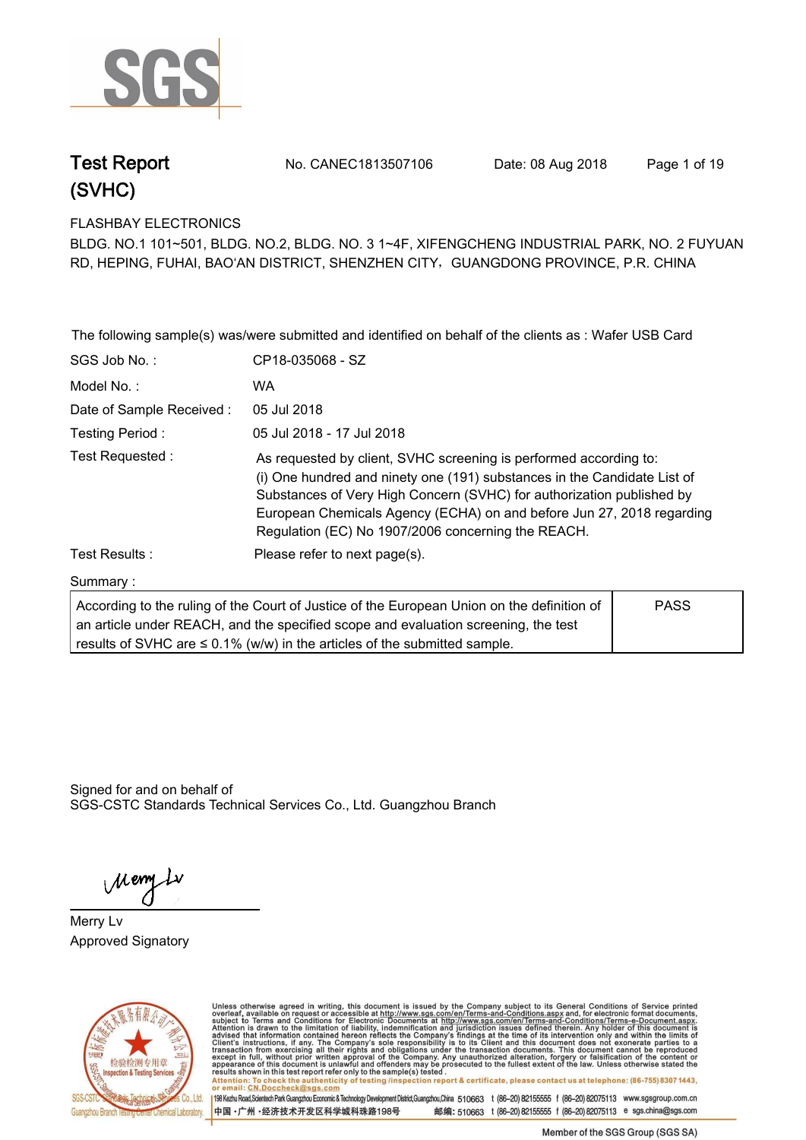

**Test Report. No. CANEC1813507106 Date: 08 Aug 2018. Page 1 of 19.**

**FLASHBAY ELECTRONICS.**

**BLDG. NO.1 101~501, BLDG. NO.2, BLDG. NO. 3 1~4F, XIFENGCHENG INDUSTRIAL PARK, NO. 2 FUYUAN RD, HEPING, FUHAI, BAO'AN DISTRICT, SHENZHEN CITY**,**GUANGDONG PROVINCE, P.R. CHINA**

|                           | The following sample(s) was/were submitted and identified on behalf of the clients as : Wafer USB Card                                                                                                                                                                                                                                                |             |
|---------------------------|-------------------------------------------------------------------------------------------------------------------------------------------------------------------------------------------------------------------------------------------------------------------------------------------------------------------------------------------------------|-------------|
| SGS Job No.:              | CP18-035068 - SZ                                                                                                                                                                                                                                                                                                                                      |             |
| Model No.:                | <b>WA</b>                                                                                                                                                                                                                                                                                                                                             |             |
| Date of Sample Received : | 05 Jul 2018                                                                                                                                                                                                                                                                                                                                           |             |
| Testing Period:           | 05 Jul 2018 - 17 Jul 2018                                                                                                                                                                                                                                                                                                                             |             |
| Test Requested:           | As requested by client, SVHC screening is performed according to:<br>(i) One hundred and ninety one (191) substances in the Candidate List of<br>Substances of Very High Concern (SVHC) for authorization published by<br>European Chemicals Agency (ECHA) on and before Jun 27, 2018 regarding<br>Regulation (EC) No 1907/2006 concerning the REACH. |             |
| Test Results :            | Please refer to next page(s).                                                                                                                                                                                                                                                                                                                         |             |
| Summary:                  |                                                                                                                                                                                                                                                                                                                                                       |             |
|                           | According to the ruling of the Court of Justice of the European Union on the definition of<br>an article under REACH, and the specified scope and evaluation screening, the test<br>results of SVHC are $\leq$ 0.1% (w/w) in the articles of the submitted sample.                                                                                    | <b>PASS</b> |

Signed for and on behalf of SGS-CSTC Standards Technical Services Co., Ltd. Guangzhou Branch.

Meny Lv

**Merry Lv. Approved Signatory. . .**



Unless otherwise agreed in writing, this document is issued by the Company subject to its General Conditions of Service printed overleaf, available on request or accessible at http://www.sgs.com/en/Terms-and-Conditions.asp results shown in this test report ferer only to the sample(s) tested .<br>Attention: To check the authenticity of testing /inspection report & certificate, please contact us at telephone: (86-755) 8307 1443,<br>or email: <u>CN.Doc</u>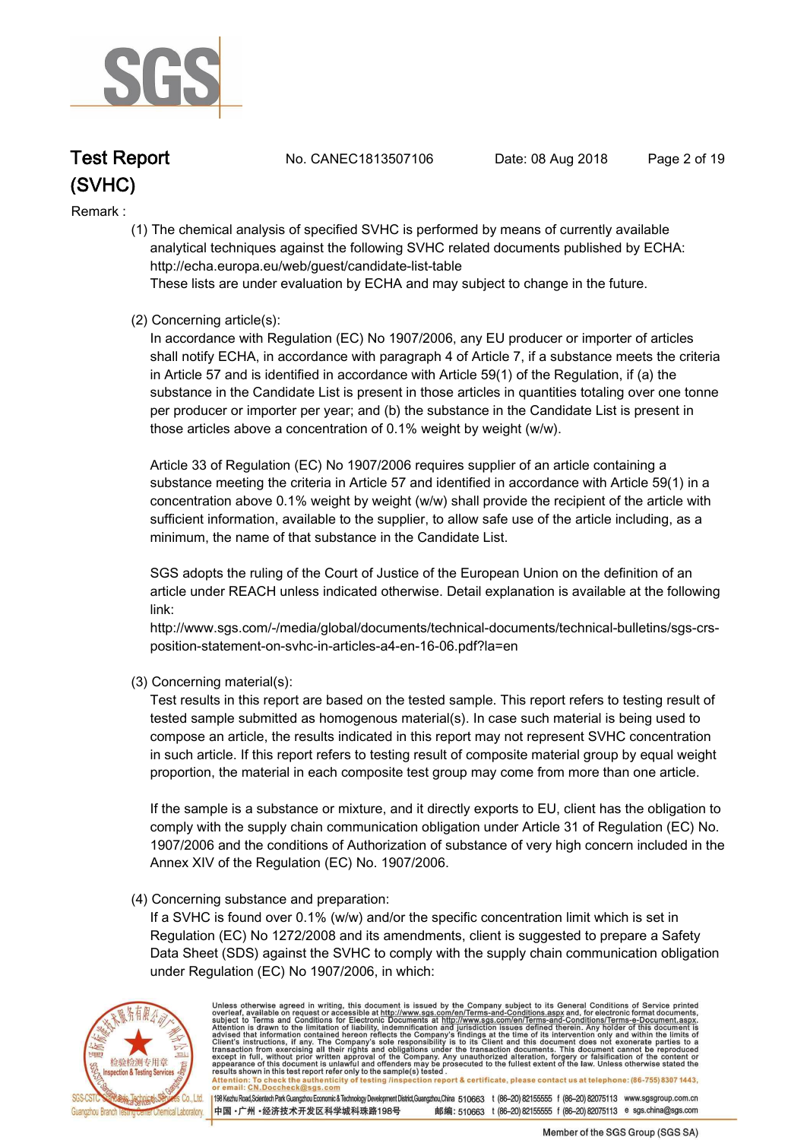

**Test Report. No. CANEC1813507106 Date: 08 Aug 2018. Page 2 of 19.**

#### **Remark :.**

 **(1) The chemical analysis of specified SVHC is performed by means of currently available analytical techniques against the following SVHC related documents published by ECHA: http://echa.europa.eu/web/guest/candidate-list-table** 

 **These lists are under evaluation by ECHA and may subject to change in the future.** 

#### **(2) Concerning article(s):**

 **In accordance with Regulation (EC) No 1907/2006, any EU producer or importer of articles shall notify ECHA, in accordance with paragraph 4 of Article 7, if a substance meets the criteria in Article 57 and is identified in accordance with Article 59(1) of the Regulation, if (a) the substance in the Candidate List is present in those articles in quantities totaling over one tonne per producer or importer per year; and (b) the substance in the Candidate List is present in those articles above a concentration of 0.1% weight by weight (w/w).** 

 **Article 33 of Regulation (EC) No 1907/2006 requires supplier of an article containing a substance meeting the criteria in Article 57 and identified in accordance with Article 59(1) in a concentration above 0.1% weight by weight (w/w) shall provide the recipient of the article with sufficient information, available to the supplier, to allow safe use of the article including, as a minimum, the name of that substance in the Candidate List.** 

 **SGS adopts the ruling of the Court of Justice of the European Union on the definition of an article under REACH unless indicated otherwise. Detail explanation is available at the following link:** 

 **http://www.sgs.com/-/media/global/documents/technical-documents/technical-bulletins/sgs-crs position-statement-on-svhc-in-articles-a4-en-16-06.pdf?la=en** 

 **(3) Concerning material(s):** 

 **Test results in this report are based on the tested sample. This report refers to testing result of tested sample submitted as homogenous material(s). In case such material is being used to compose an article, the results indicated in this report may not represent SVHC concentration in such article. If this report refers to testing result of composite material group by equal weight proportion, the material in each composite test group may come from more than one article.** 

 **If the sample is a substance or mixture, and it directly exports to EU, client has the obligation to comply with the supply chain communication obligation under Article 31 of Regulation (EC) No. 1907/2006 and the conditions of Authorization of substance of very high concern included in the Annex XIV of the Regulation (EC) No. 1907/2006.** 

#### **(4) Concerning substance and preparation:**

 **If a SVHC is found over 0.1% (w/w) and/or the specific concentration limit which is set in Regulation (EC) No 1272/2008 and its amendments, client is suggested to prepare a Safety Data Sheet (SDS) against the SVHC to comply with the supply chain communication obligation under Regulation (EC) No 1907/2006, in which:** 



Unless otherwise agreed in writing, this document is issued by the Company subject to its General Conditions of Service printed overleaf, available on request or accessible at http://www.sgs.com/en/Terms-and-Conditions.asp Attention: To check the authenticity of testing /inspection report & certificate, please contact us at telephone: (86-755) 8307 1443,<br>or email: CN.Doccheck@sgs.com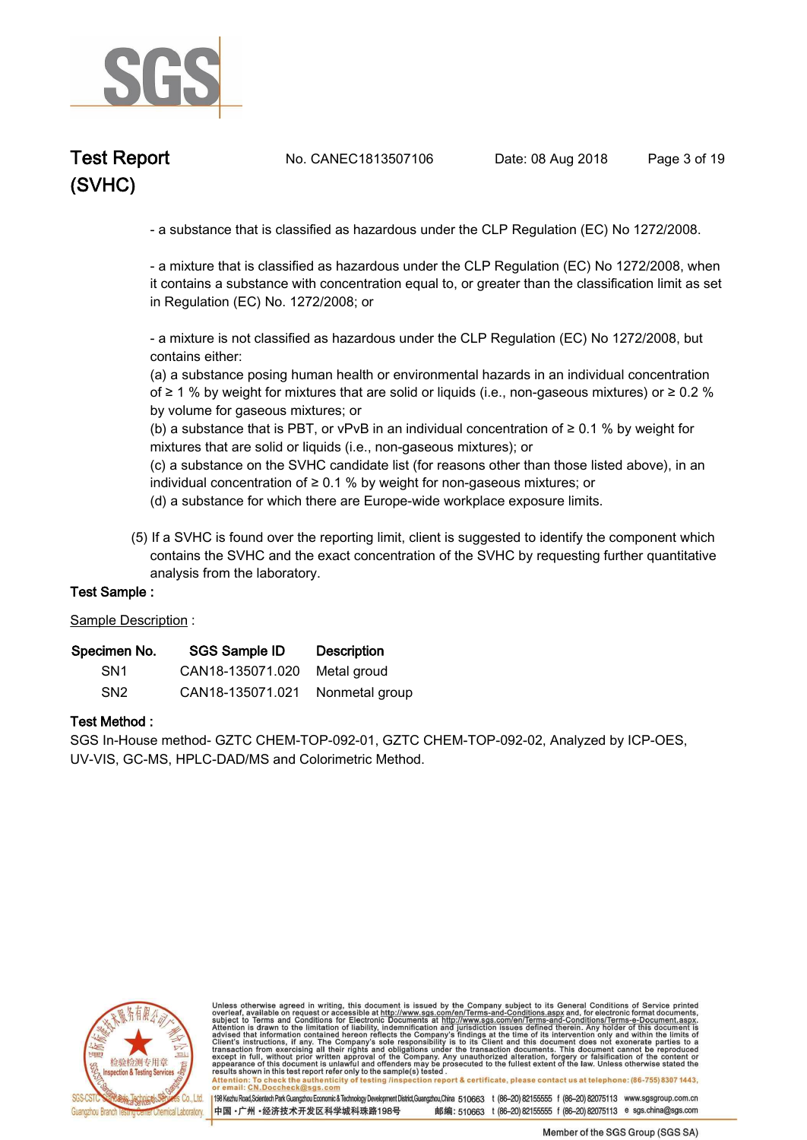

**Test Report. No. CANEC1813507106 Date: 08 Aug 2018. Page 3 of 19.**

 **- a substance that is classified as hazardous under the CLP Regulation (EC) No 1272/2008.** 

 **- a mixture that is classified as hazardous under the CLP Regulation (EC) No 1272/2008, when it contains a substance with concentration equal to, or greater than the classification limit as set in Regulation (EC) No. 1272/2008; or** 

 **- a mixture is not classified as hazardous under the CLP Regulation (EC) No 1272/2008, but contains either:** 

 **(a) a substance posing human health or environmental hazards in an individual concentration of ≥ 1 % by weight for mixtures that are solid or liquids (i.e., non-gaseous mixtures) or ≥ 0.2 % by volume for gaseous mixtures; or** 

 **(b) a substance that is PBT, or vPvB in an individual concentration of ≥ 0.1 % by weight for mixtures that are solid or liquids (i.e., non-gaseous mixtures); or** 

 **(c) a substance on the SVHC candidate list (for reasons other than those listed above), in an individual concentration of ≥ 0.1 % by weight for non-gaseous mixtures; or** 

 **(d) a substance for which there are Europe-wide workplace exposure limits.**

 **(5) If a SVHC is found over the reporting limit, client is suggested to identify the component which contains the SVHC and the exact concentration of the SVHC by requesting further quantitative analysis from the laboratory.** 

#### **Test Sample :.**

**Sample Description :.**

| Specimen No.    | <b>SGS Sample ID</b>            | <b>Description</b> |
|-----------------|---------------------------------|--------------------|
| SN <sub>1</sub> | CAN18-135071.020 Metal groud    |                    |
| SN <sub>2</sub> | CAN18-135071.021 Nonmetal group |                    |

#### **Test Method :.**

**SGS In-House method- GZTC CHEM-TOP-092-01, GZTC CHEM-TOP-092-02, Analyzed by ICP-OES, UV-VIS, GC-MS, HPLC-DAD/MS and Colorimetric Method..**



Unless otherwise agreed in writing, this document is issued by the Company subject to its General Conditions of Service printed overleaf, available on request or accessible at http://www.sgs.com/en/Terms-and-Conditions.asp resums shown in mas lost report their unit to the sample(s) lesied .<br>Attention: To check the authenticity of testing /inspection report & certificate, please contact us at telephone: (86-755) 8307 1443,<br>or email: <u>CN.Docch</u>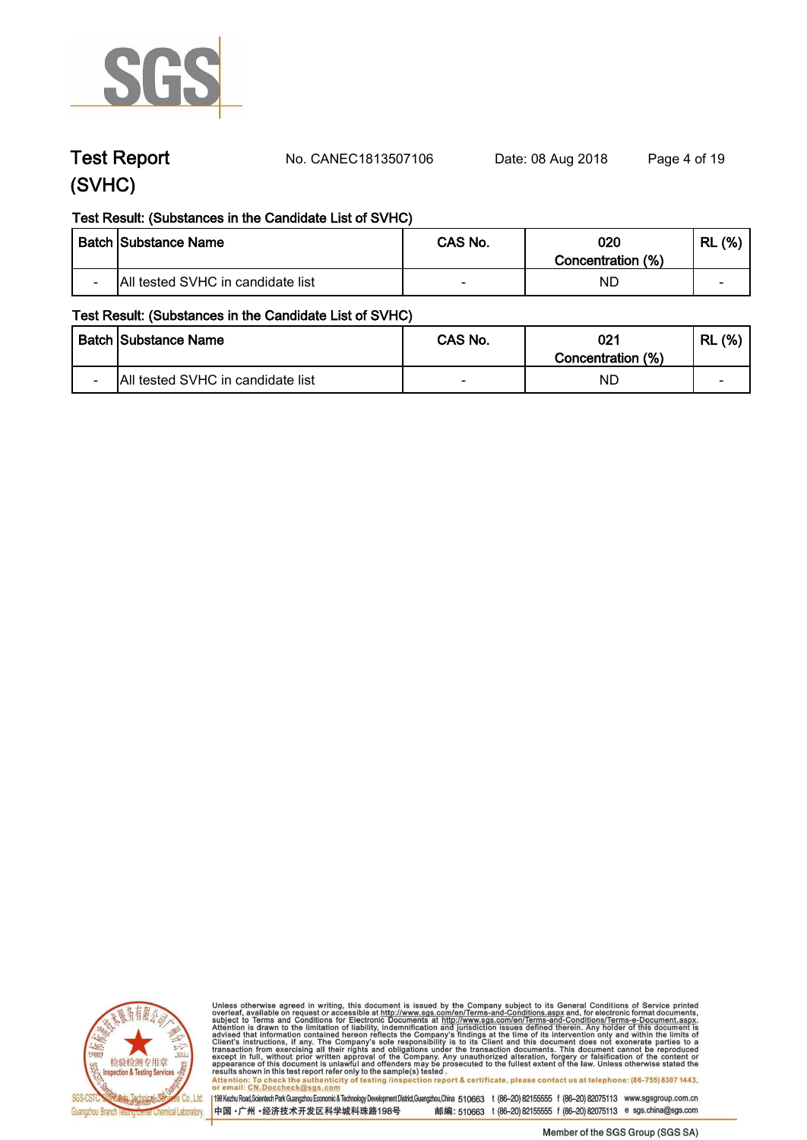

**Test Report. No. CANEC1813507106 Date: 08 Aug 2018. Page 4 of 19.**

#### **Test Result: (Substances in the Candidate List of SVHC)**

|                          | <b>Batch Substance Name</b>       | CAS No. | 020<br>Concentration (%) | (% )<br>RL |
|--------------------------|-----------------------------------|---------|--------------------------|------------|
| $\overline{\phantom{0}}$ | All tested SVHC in candidate list | $\sim$  | NĽ                       | -          |

#### **Test Result: (Substances in the Candidate List of SVHC)**

|                          | <b>Batch Substance Name</b>       | CAS No. | 021<br>Concentration (%) | (% )<br>RL |
|--------------------------|-----------------------------------|---------|--------------------------|------------|
| $\overline{\phantom{0}}$ | All tested SVHC in candidate list |         | NĽ                       | -          |



Unless otherwise agreed in writing, this document is issued by the Company subject to its General Conditions of Service printed<br>overleaf, available on request or accessible at http://www.sgs.com/en/Terms-and-Conditions.asp results shown in this test report refer only to the sample(s) tested .<br>Attention: To check the authenticity of testing /inspection report & certificate, please contact us at telephone: (86-755) 8307 1443,<br>or email: <u>CN.Doc</u>

198 Kezhu Road,Scientech Park Guangzhou Economic & Technology Development District,Guangzhou,China 510663 t (86-20) 82155555 f (86-20) 82075113 www.sgsgroup.com.cn

中国·广州·经济技术开发区科学城科珠路198号 邮编: 510663 t (86-20) 82155555 f (86-20) 82075113 e sgs.china@sgs.com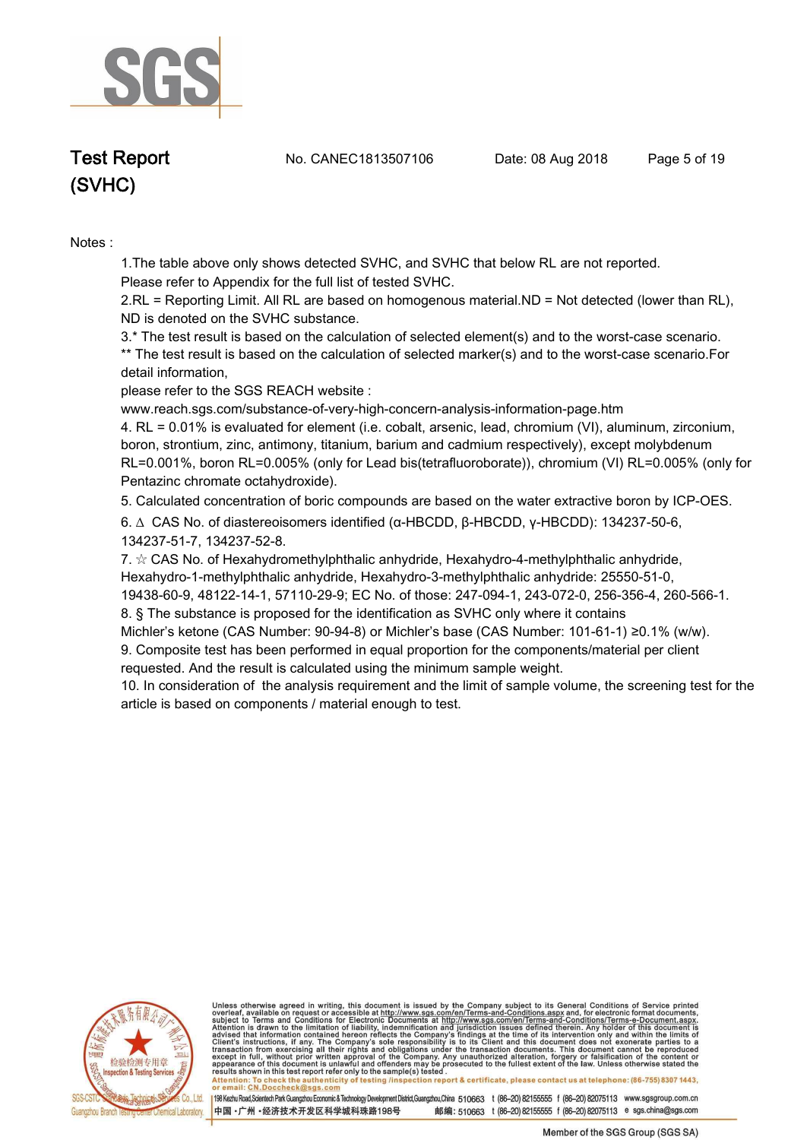

**Test Report. No. CANEC1813507106 Date: 08 Aug 2018. Page 5 of 19.**

# **(SVHC)**

**Notes :.**

**1.The table above only shows detected SVHC, and SVHC that below RL are not reported.** 

**Please refer to Appendix for the full list of tested SVHC.**

**2.RL = Reporting Limit. All RL are based on homogenous material.ND = Not detected (lower than RL), ND is denoted on the SVHC substance.**

**3.\* The test result is based on the calculation of selected element(s) and to the worst-case scenario. \*\* The test result is based on the calculation of selected marker(s) and to the worst-case scenario.For detail information,** 

**please refer to the SGS REACH website :** 

**www.reach.sgs.com/substance-of-very-high-concern-analysis-information-page.htm** 

**4. RL = 0.01% is evaluated for element (i.e. cobalt, arsenic, lead, chromium (VI), aluminum, zirconium, boron, strontium, zinc, antimony, titanium, barium and cadmium respectively), except molybdenum RL=0.001%, boron RL=0.005% (only for Lead bis(tetrafluoroborate)), chromium (VI) RL=0.005% (only for Pentazinc chromate octahydroxide)..**

**5. Calculated concentration of boric compounds are based on the water extractive boron by ICP-OES..**

**6. ∆ CAS No. of diastereoisomers identified (α-HBCDD, β-HBCDD, γ-HBCDD): 134237-50-6, 134237-51-7, 134237-52-8.** 

**7. ☆ CAS No. of Hexahydromethylphthalic anhydride, Hexahydro-4-methylphthalic anhydride, Hexahydro-1-methylphthalic anhydride, Hexahydro-3-methylphthalic anhydride: 25550-51-0, 19438-60-9, 48122-14-1, 57110-29-9; EC No. of those: 247-094-1, 243-072-0, 256-356-4, 260-566-1. 8. § The substance is proposed for the identification as SVHC only where it contains** 

**Michler's ketone (CAS Number: 90-94-8) or Michler's base (CAS Number: 101-61-1) ≥0.1% (w/w).**

**9. Composite test has been performed in equal proportion for the components/material per client requested. And the result is calculated using the minimum sample weight.**

**10. In consideration of the analysis requirement and the limit of sample volume, the screening test for the article is based on components / material enough to test..**



Unless otherwise agreed in writing, this document is issued by the Company subject to its General Conditions of Service printed overleaf, available on request or accessible at http://www.sgs.com/en/Terms-and-Conditions.asp

Attention: To check the authenticity of testing /inspection report & certificate, please contact us at telephone: (86-755) 8307 1443,<br>or email: CN.Doccheck@sgs.com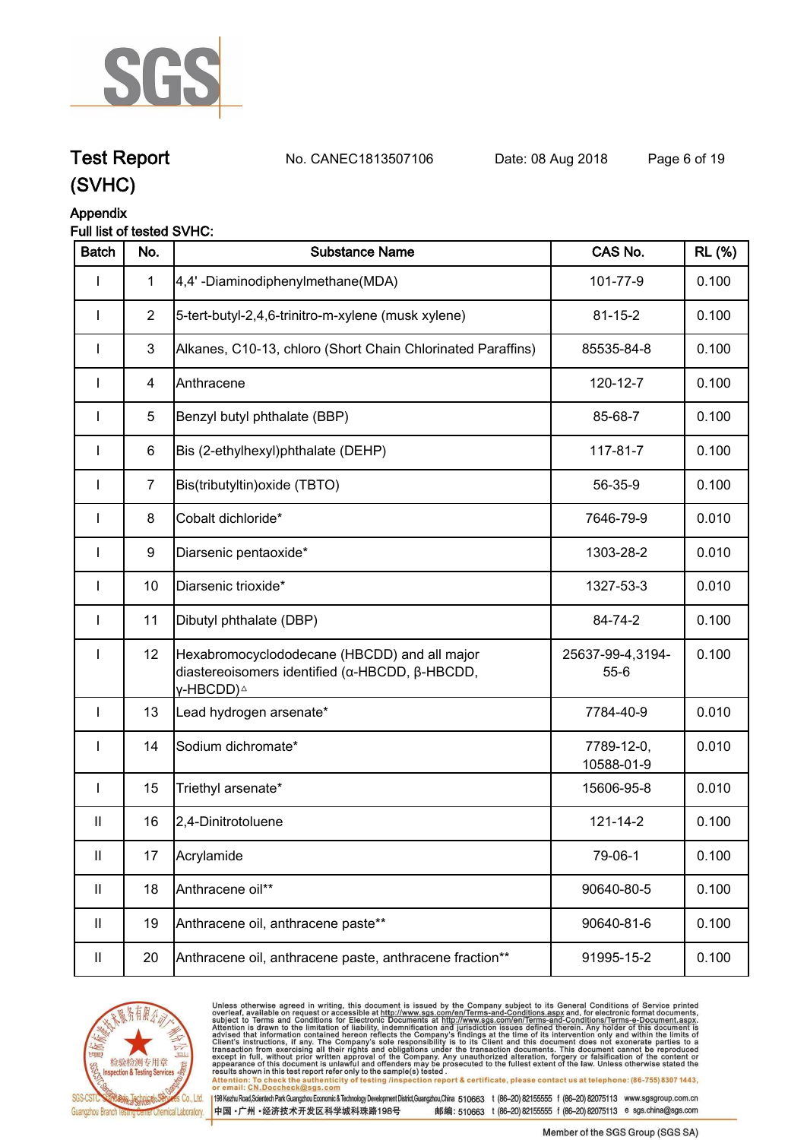

**Test Report. No. CANEC1813507106 Date: 08 Aug 2018. Page 6 of 19.**

## **(SVHC)**

### **Appendix**

#### **Full list of tested SVHC:**

| <b>Batch</b>               | No.            | <b>Substance Name</b>                                                                                                   | CAS No.                    | <b>RL</b> (%) |
|----------------------------|----------------|-------------------------------------------------------------------------------------------------------------------------|----------------------------|---------------|
| I                          | $\mathbf{1}$   | 4,4'-Diaminodiphenylmethane(MDA)                                                                                        | 101-77-9                   | 0.100         |
| <b>I</b>                   | $\overline{2}$ | 5-tert-butyl-2,4,6-trinitro-m-xylene (musk xylene)                                                                      | $81 - 15 - 2$              | 0.100         |
| I                          | $\mathbf{3}$   | Alkanes, C10-13, chloro (Short Chain Chlorinated Paraffins)                                                             | 85535-84-8                 | 0.100         |
|                            | $\overline{4}$ | Anthracene                                                                                                              | 120-12-7                   | 0.100         |
|                            | 5              | Benzyl butyl phthalate (BBP)                                                                                            | 85-68-7                    | 0.100         |
| <b>I</b>                   | 6              | Bis (2-ethylhexyl)phthalate (DEHP)                                                                                      | 117-81-7                   | 0.100         |
| I                          | $\overline{7}$ | Bis(tributyltin) oxide (TBTO)                                                                                           | 56-35-9                    | 0.100         |
| <b>I</b>                   | 8              | Cobalt dichloride*                                                                                                      | 7646-79-9                  | 0.010         |
| <b>I</b>                   | 9              | Diarsenic pentaoxide*                                                                                                   | 1303-28-2                  | 0.010         |
| $\mathsf{l}$               | 10             | Diarsenic trioxide*                                                                                                     | 1327-53-3                  | 0.010         |
| <b>I</b>                   | 11             | Dibutyl phthalate (DBP)                                                                                                 | 84-74-2                    | 0.100         |
| <b>I</b>                   | 12             | Hexabromocyclododecane (HBCDD) and all major<br>diastereoisomers identified (α-HBCDD, β-HBCDD,<br>γ-HBCDD) <sup>∆</sup> | 25637-99-4,3194-<br>$55-6$ | 0.100         |
| $\mathbf{I}$               | 13             | Lead hydrogen arsenate*                                                                                                 | 7784-40-9                  | 0.010         |
| $\mathbf{I}$               | 14             | Sodium dichromate*                                                                                                      | 7789-12-0,<br>10588-01-9   | 0.010         |
| $\mathbf{I}$               | 15             | Triethyl arsenate*                                                                                                      | 15606-95-8                 | 0.010         |
| $\mathop{\rm II}\nolimits$ | 16             | 2,4-Dinitrotoluene                                                                                                      | 121-14-2                   | 0.100         |
| $\mathbf{  }$              | 17             | Acrylamide                                                                                                              | 79-06-1                    | 0.100         |
| $\mathbf{II}$              | 18             | Anthracene oil**                                                                                                        | 90640-80-5                 | 0.100         |
| $\mathbf{II}$              | 19             | Anthracene oil, anthracene paste**                                                                                      | 90640-81-6                 | 0.100         |
| $\ensuremath{\mathsf{II}}$ | 20             | Anthracene oil, anthracene paste, anthracene fraction**                                                                 | 91995-15-2                 | 0.100         |



Unless otherwise agreed in writing, this document is issued by the Company subject to its General Conditions of Service printed<br>overleaf, available on request or accessible at http://www.sgs.com/en/Terms-and-Conditions.asp results shown in this test report refer only to the sample(s) tested .<br>Attention: To check the authenticity of testing /inspection report & certificate, please contact us at telephone: (86-755) 8307 1443,<br>or email: <u>CN.Doc</u>

198 Kezhu Road,Scientech Park Guangzhou Economic & Technology Development District,Guangzhou,China 510663 t (86-20) 82155555 f (86-20) 82075113 www.sgsgroup.com.cn

中国·广州·经济技术开发区科学城科珠路198号 邮编: 510663 t (86-20) 82155555 f (86-20) 82075113 e sgs.china@sgs.com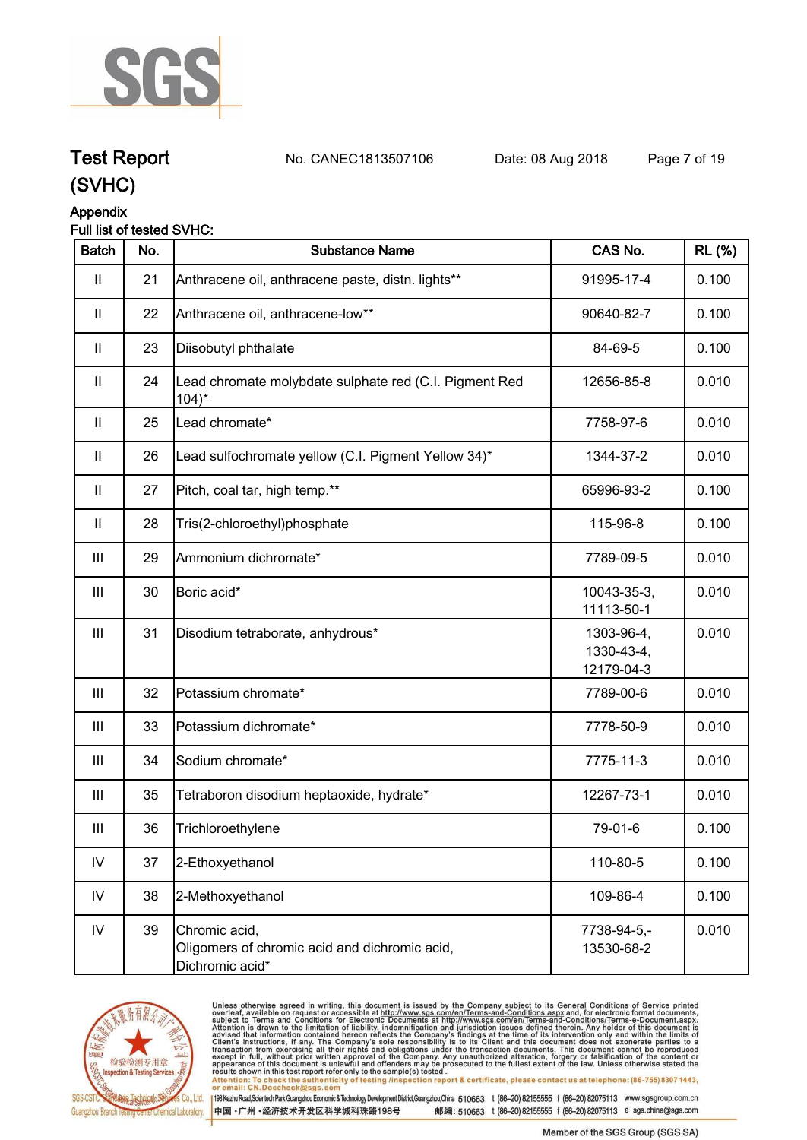

**Test Report. No. CANEC1813507106 Date: 08 Aug 2018. Page 7 of 19.**

## **(SVHC)**

#### **Appendix**

#### **Full list of tested SVHC:**

| <b>Batch</b>   | No. | <b>Substance Name</b>                                                             | CAS No.                                | <b>RL (%)</b> |
|----------------|-----|-----------------------------------------------------------------------------------|----------------------------------------|---------------|
| $\mathbf{  }$  | 21  | Anthracene oil, anthracene paste, distn. lights**                                 | 91995-17-4                             | 0.100         |
| $\mathbf{II}$  | 22  | Anthracene oil, anthracene-low**                                                  | 90640-82-7                             | 0.100         |
| $\mathbf{II}$  | 23  | Diisobutyl phthalate                                                              | 84-69-5                                | 0.100         |
| $\mathbf{I}$   | 24  | Lead chromate molybdate sulphate red (C.I. Pigment Red<br>$104$ <sup>*</sup>      | 12656-85-8                             | 0.010         |
| $\mathbf{I}$   | 25  | Lead chromate*                                                                    | 7758-97-6                              | 0.010         |
| $\mathbf{I}$   | 26  | Lead sulfochromate yellow (C.I. Pigment Yellow 34)*                               | 1344-37-2                              | 0.010         |
| $\mathbf{II}$  | 27  | Pitch, coal tar, high temp.**                                                     | 65996-93-2                             | 0.100         |
| $\mathbf{II}$  | 28  | Tris(2-chloroethyl)phosphate                                                      | 115-96-8                               | 0.100         |
| III            | 29  | Ammonium dichromate*                                                              | 7789-09-5                              | 0.010         |
| III            | 30  | Boric acid*                                                                       | 10043-35-3,<br>11113-50-1              | 0.010         |
| Ш              | 31  | Disodium tetraborate, anhydrous*                                                  | 1303-96-4,<br>1330-43-4,<br>12179-04-3 | 0.010         |
| $\mathbf{III}$ | 32  | Potassium chromate*                                                               | 7789-00-6                              | 0.010         |
| $\mathbf{III}$ | 33  | Potassium dichromate*                                                             | 7778-50-9                              | 0.010         |
| III            | 34  | Sodium chromate*                                                                  | 7775-11-3                              | 0.010         |
| Ш              | 35  | Tetraboron disodium heptaoxide, hydrate*                                          | 12267-73-1                             | 0.010         |
| Ш              | 36  | Trichloroethylene                                                                 | 79-01-6                                | 0.100         |
| ${\sf IV}$     | 37  | 2-Ethoxyethanol                                                                   | 110-80-5                               | 0.100         |
| IV             | 38  | 2-Methoxyethanol                                                                  | 109-86-4                               | 0.100         |
| ${\sf IV}$     | 39  | Chromic acid,<br>Oligomers of chromic acid and dichromic acid,<br>Dichromic acid* | 7738-94-5,-<br>13530-68-2              | 0.010         |



Unless otherwise agreed in writing, this document is issued by the Company subject to its General Conditions of Service printed<br>overleaf, available on request or accessible at http://www.sgs.com/en/Terms-and-Conditions.asp results shown in this test report refer only to the sample(s) tested .<br>Attention: To check the authenticity of testing /inspection report & certificate, please contact us at telephone: (86-755) 8307 1443,<br>or email: <u>CN.Doc</u>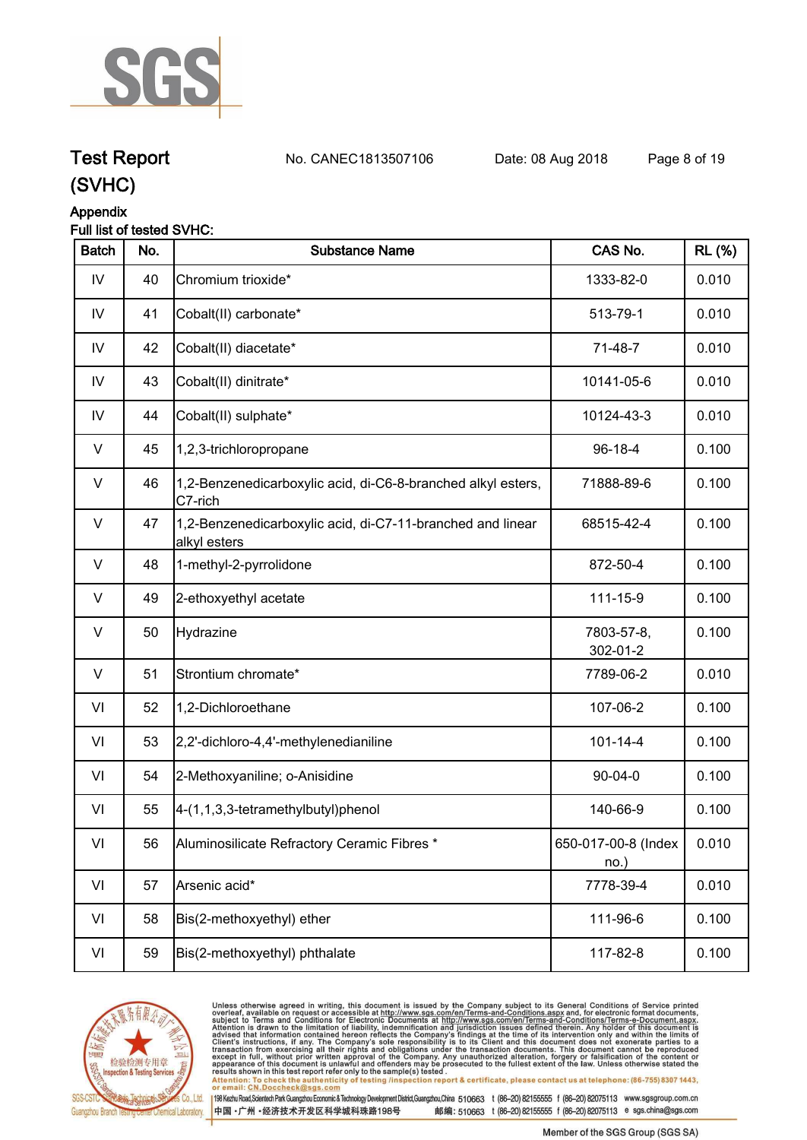

**Test Report. No. CANEC1813507106 Date: 08 Aug 2018. Page 8 of 19.**

### **(SVHC)**

### **Appendix**

#### **Full list of tested SVHC:**

| <b>RL</b> (%) |
|---------------|
| 0.010         |
| 0.010         |
| 0.010         |
| 0.010         |
| 0.010         |
| 0.100         |
| 0.100         |
| 0.100         |
| 0.100         |
| 0.100         |
| 0.100         |
| 0.010         |
| 0.100         |
| 0.100         |
| 0.100         |
| 0.100         |
| 0.010         |
| 0.010         |
| 0.100         |
| 0.100         |
|               |



Unless otherwise agreed in writing, this document is issued by the Company subject to its General Conditions of Service printed<br>overleaf, available on request or accessible at http://www.sgs.com/en/Terms-and-Conditions.asp

results shown in this test report refer only to the sample(s) tested .<br>Attention: To check the authenticity of testing /inspection report & certificate, please contact us at telephone: (86-755) 8307 1443,<br>or email: <u>CN.Doc</u> 198 Kezhu Road,Scientech Park Guangzhou Economic & Technology Development District,Guangzhou,China 510663 t (86-20) 82155555 f (86-20) 82075113 www.sgsgroup.com.cn

中国·广州·经济技术开发区科学城科珠路198号 邮编: 510663 t (86-20) 82155555 f (86-20) 82075113 e sgs.china@sgs.com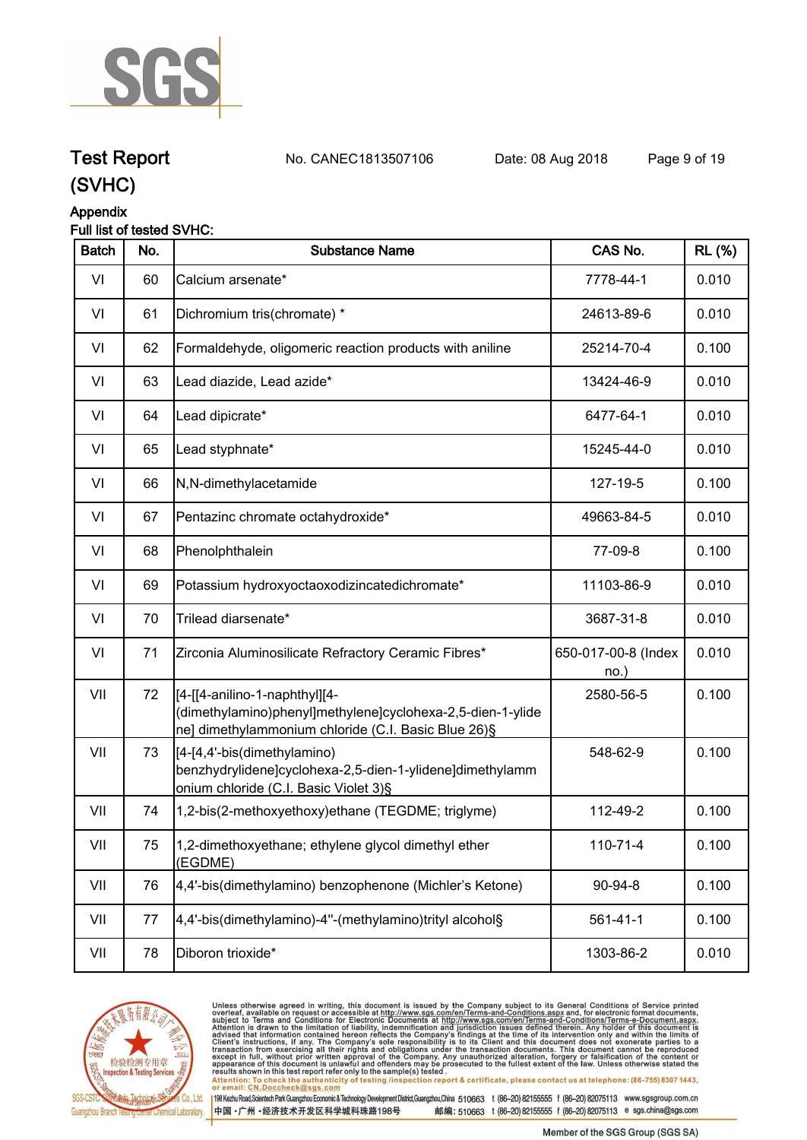

**Test Report. No. CANEC1813507106 Date: 08 Aug 2018. Page 9 of 19.**

### **(SVHC)**

#### **Appendix**

#### **Full list of tested SVHC:**

| <b>Batch</b> | No. | <b>Substance Name</b>                                                                                                                              | CAS No.                    | <b>RL (%)</b> |
|--------------|-----|----------------------------------------------------------------------------------------------------------------------------------------------------|----------------------------|---------------|
| VI           | 60  | Calcium arsenate*                                                                                                                                  | 7778-44-1                  | 0.010         |
| VI           | 61  | Dichromium tris(chromate) *                                                                                                                        | 24613-89-6                 | 0.010         |
| VI           | 62  | Formaldehyde, oligomeric reaction products with aniline                                                                                            | 25214-70-4                 | 0.100         |
| VI           | 63  | Lead diazide, Lead azide*                                                                                                                          | 13424-46-9                 | 0.010         |
| VI           | 64  | Lead dipicrate*                                                                                                                                    | 6477-64-1                  | 0.010         |
| VI           | 65  | Lead styphnate*                                                                                                                                    | 15245-44-0                 | 0.010         |
| VI           | 66  | N,N-dimethylacetamide                                                                                                                              | 127-19-5                   | 0.100         |
| VI           | 67  | Pentazinc chromate octahydroxide*                                                                                                                  | 49663-84-5                 | 0.010         |
| VI           | 68  | Phenolphthalein                                                                                                                                    | 77-09-8                    | 0.100         |
| VI           | 69  | Potassium hydroxyoctaoxodizincatedichromate*                                                                                                       | 11103-86-9                 | 0.010         |
| VI           | 70  | Trilead diarsenate*                                                                                                                                | 3687-31-8                  | 0.010         |
| VI           | 71  | Zirconia Aluminosilicate Refractory Ceramic Fibres*                                                                                                | 650-017-00-8 (Index<br>no. | 0.010         |
| VII          | 72  | [[4-[[4-anilino-1-naphthyl][4-<br>dimethylamino)phenyl]methylene]cyclohexa-2,5-dien-1-ylide<br>ne] dimethylammonium chloride (C.I. Basic Blue 26)§ | 2580-56-5                  | 0.100         |
| VII          | 73  | [4-[4,4'-bis(dimethylamino)<br>benzhydrylidene]cyclohexa-2,5-dien-1-ylidene]dimethylamm<br>onium chloride (C.I. Basic Violet 3)§                   | 548-62-9                   | 0.100         |
| VII          | 74  | 1,2-bis(2-methoxyethoxy)ethane (TEGDME; triglyme)                                                                                                  | 112-49-2                   | 0.100         |
| VII          | 75  | 1,2-dimethoxyethane; ethylene glycol dimethyl ether<br>(EGDME)                                                                                     | 110-71-4                   | 0.100         |
| VII          | 76  | 4,4'-bis(dimethylamino) benzophenone (Michler's Ketone)                                                                                            | 90-94-8                    | 0.100         |
| VII          | 77  | 4,4'-bis(dimethylamino)-4"-(methylamino)trityl alcohol§                                                                                            | $561 - 41 - 1$             | 0.100         |
| VII          | 78  | Diboron trioxide*                                                                                                                                  | 1303-86-2                  | 0.010         |
|              |     |                                                                                                                                                    |                            |               |



Unless otherwise agreed in writing, this document is issued by the Company subject to its General Conditions of Service printed<br>overleaf, available on request or accessible at http://www.sgs.com/en/Terms-and-Conditions.as

198 Kezhu Road,Scientech Park Guangzhou Economic & Technology Development District,Guangzhou,China 510663 t (86-20) 82155555 f (86-20) 82075113 www.sgsgroup.com.cn 中国·广州·经济技术开发区科学城科珠路198号 邮编: 510663 t (86-20) 82155555 f (86-20) 82075113 e sgs.china@sgs.com

Member of the SGS Group (SGS SA)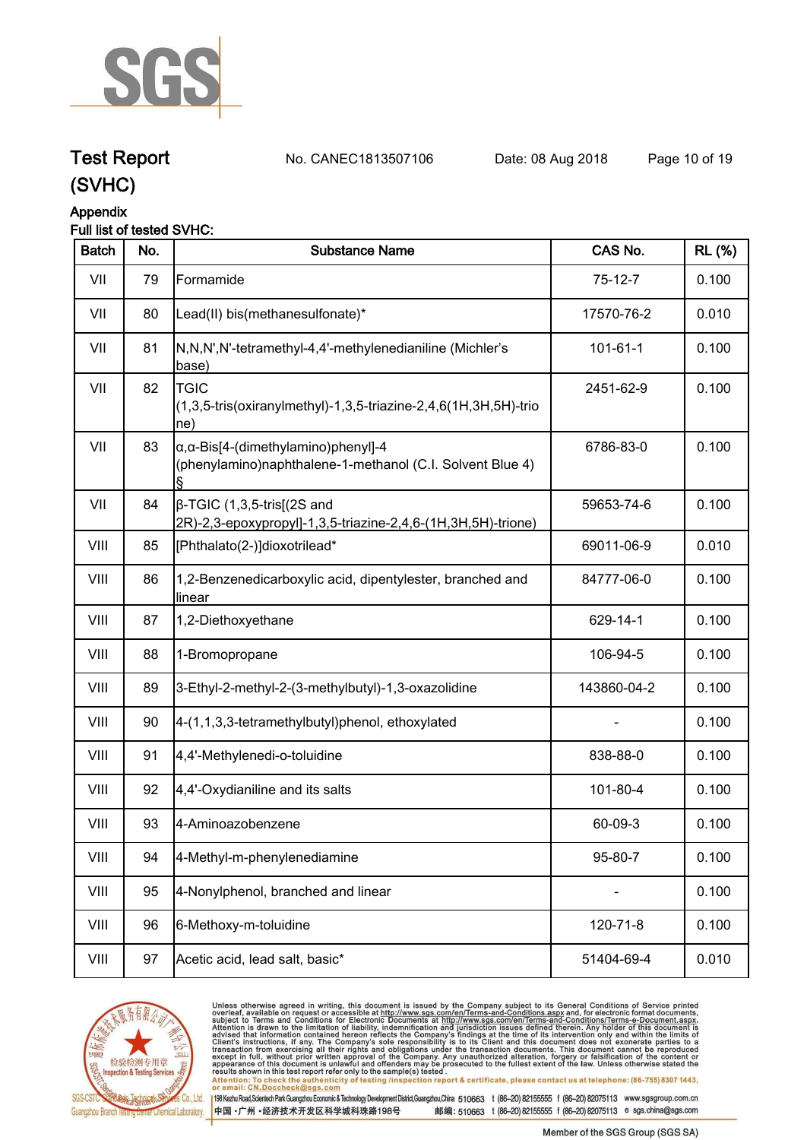

**Test Report. No. CANEC1813507106 Date: 08 Aug 2018. Page 10 of 19.**

## **(SVHC)**

#### **Appendix**

#### **Full list of tested SVHC:**

| <b>Batch</b> | No. | <b>Substance Name</b>                                                                                            | CAS No.        | <b>RL (%)</b> |
|--------------|-----|------------------------------------------------------------------------------------------------------------------|----------------|---------------|
| VII          | 79  | Formamide                                                                                                        | $75-12-7$      | 0.100         |
| VII          | 80  | Lead(II) bis(methanesulfonate)*                                                                                  | 17570-76-2     | 0.010         |
| VII          | 81  | N,N,N',N'-tetramethyl-4,4'-methylenedianiline (Michler's<br>base)                                                | $101 - 61 - 1$ | 0.100         |
| VII          | 82  | <b>TGIC</b><br>(1,3,5-tris(oxiranylmethyl)-1,3,5-triazine-2,4,6(1H,3H,5H)-trio<br>ne)                            | 2451-62-9      | 0.100         |
| VII          | 83  | $\alpha$ , $\alpha$ -Bis[4-(dimethylamino)phenyl]-4<br>(phenylamino)naphthalene-1-methanol (C.I. Solvent Blue 4) | 6786-83-0      | 0.100         |
| VII          | 84  | $\beta$ -TGIC (1,3,5-tris[(2S and<br>2R)-2,3-epoxypropyl]-1,3,5-triazine-2,4,6-(1H,3H,5H)-trione)                | 59653-74-6     | 0.100         |
| VIII         | 85  | [Phthalato(2-)]dioxotrilead*                                                                                     | 69011-06-9     | 0.010         |
| VIII         | 86  | 1,2-Benzenedicarboxylic acid, dipentylester, branched and<br>linear                                              | 84777-06-0     | 0.100         |
| VIII         | 87  | 1,2-Diethoxyethane                                                                                               | 629-14-1       | 0.100         |
| VIII         | 88  | 1-Bromopropane                                                                                                   | 106-94-5       | 0.100         |
| VIII         | 89  | 3-Ethyl-2-methyl-2-(3-methylbutyl)-1,3-oxazolidine                                                               | 143860-04-2    | 0.100         |
| VIII         | 90  | 4-(1,1,3,3-tetramethylbutyl)phenol, ethoxylated                                                                  |                | 0.100         |
| VIII         | 91  | 4,4'-Methylenedi-o-toluidine                                                                                     | 838-88-0       | 0.100         |
| VIII         | 92  | 4,4'-Oxydianiline and its salts                                                                                  | 101-80-4       | 0.100         |
| VIII         | 93  | 4-Aminoazobenzene                                                                                                | 60-09-3        | 0.100         |
| VIII         | 94  | 4-Methyl-m-phenylenediamine                                                                                      | 95-80-7        | 0.100         |
| VIII         | 95  | 4-Nonylphenol, branched and linear                                                                               |                | 0.100         |
| VIII         | 96  | 6-Methoxy-m-toluidine                                                                                            | 120-71-8       | 0.100         |
| VIII         | 97  | Acetic acid, lead salt, basic*                                                                                   | 51404-69-4     | 0.010         |



Unless otherwise agreed in writing, this document is issued by the Company subject to its General Conditions of Service printed<br>overleaf, available on request or accessible at http://www.sgs.com/en/Terms-and-Conditions.asp results shown in this test report refer only to the sample(s) tested .<br>Attention: To check the authenticity of testing /inspection report & certificate, please contact us at telephone: (86-755) 8307 1443,<br>or email: <u>CN.Doc</u>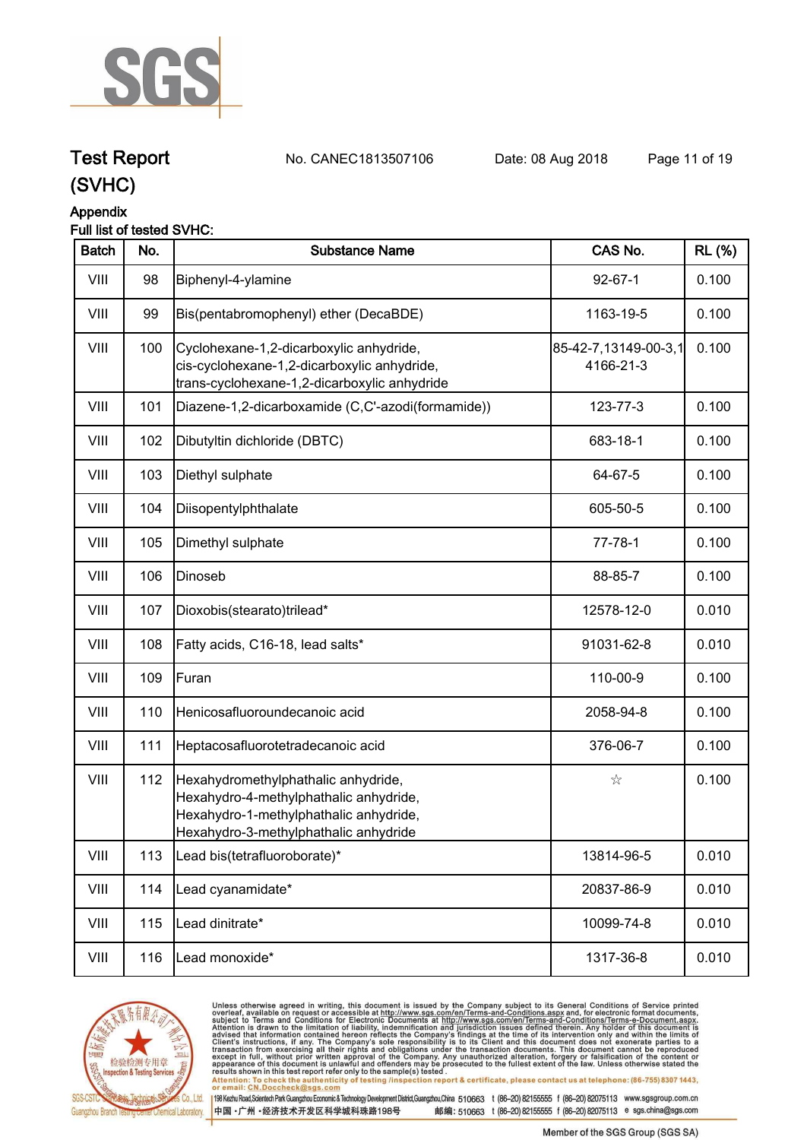

**Test Report. No. CANEC1813507106 Date: 08 Aug 2018. Page 11 of 19.**

### **(SVHC)**

#### **Appendix**

#### **Full list of tested SVHC:**

| <b>Batch</b> | No. | <b>Substance Name</b>                                                                                                                                            | CAS No.                           | <b>RL (%)</b> |
|--------------|-----|------------------------------------------------------------------------------------------------------------------------------------------------------------------|-----------------------------------|---------------|
| VIII         | 98  | Biphenyl-4-ylamine                                                                                                                                               | $92 - 67 - 1$                     | 0.100         |
| VIII         | 99  | Bis(pentabromophenyl) ether (DecaBDE)                                                                                                                            | 1163-19-5                         | 0.100         |
| VIII         | 100 | Cyclohexane-1,2-dicarboxylic anhydride,<br>cis-cyclohexane-1,2-dicarboxylic anhydride,<br>trans-cyclohexane-1,2-dicarboxylic anhydride                           | 85-42-7,13149-00-3,1<br>4166-21-3 | 0.100         |
| VIII         | 101 | Diazene-1,2-dicarboxamide (C,C'-azodi(formamide))                                                                                                                | 123-77-3                          | 0.100         |
| VIII         | 102 | Dibutyltin dichloride (DBTC)                                                                                                                                     | 683-18-1                          | 0.100         |
| VIII         | 103 | Diethyl sulphate                                                                                                                                                 | 64-67-5                           | 0.100         |
| VIII         | 104 | Diisopentylphthalate                                                                                                                                             | 605-50-5                          | 0.100         |
| VIII         | 105 | Dimethyl sulphate                                                                                                                                                | $77 - 78 - 1$                     | 0.100         |
| VIII         | 106 | Dinoseb                                                                                                                                                          | 88-85-7                           | 0.100         |
| VIII         | 107 | Dioxobis(stearato)trilead*                                                                                                                                       | 12578-12-0                        | 0.010         |
| VIII         | 108 | Fatty acids, C16-18, lead salts*                                                                                                                                 | 91031-62-8                        | 0.010         |
| VIII         | 109 | Furan                                                                                                                                                            | 110-00-9                          | 0.100         |
| VIII         | 110 | Henicosafluoroundecanoic acid                                                                                                                                    | 2058-94-8                         | 0.100         |
| VIII         | 111 | Heptacosafluorotetradecanoic acid                                                                                                                                | 376-06-7                          | 0.100         |
| VIII         | 112 | Hexahydromethylphathalic anhydride,<br>Hexahydro-4-methylphathalic anhydride,<br>Hexahydro-1-methylphathalic anhydride,<br>Hexahydro-3-methylphathalic anhydride | ☆                                 | 0.100         |
| VIII         | 113 | Lead bis(tetrafluoroborate)*                                                                                                                                     | 13814-96-5                        | 0.010         |
| VIII         | 114 | Lead cyanamidate*                                                                                                                                                | 20837-86-9                        | 0.010         |
| VIII         | 115 | Lead dinitrate*                                                                                                                                                  | 10099-74-8                        | 0.010         |
| VIII         | 116 | Lead monoxide*                                                                                                                                                   | 1317-36-8                         | 0.010         |



Unless otherwise agreed in writing, this document is issued by the Company subject to its General Conditions of Service printed<br>overleaf, available on request or accessible at http://www.sgs.com/en/Terms-and-Conditions.asp results shown in this test report refer only to the sample(s) tested .<br>Attention: To check the authenticity of testing /inspection report & certificate, please contact us at telephone: (86-755) 8307 1443,<br>or email: <u>CN.Doc</u>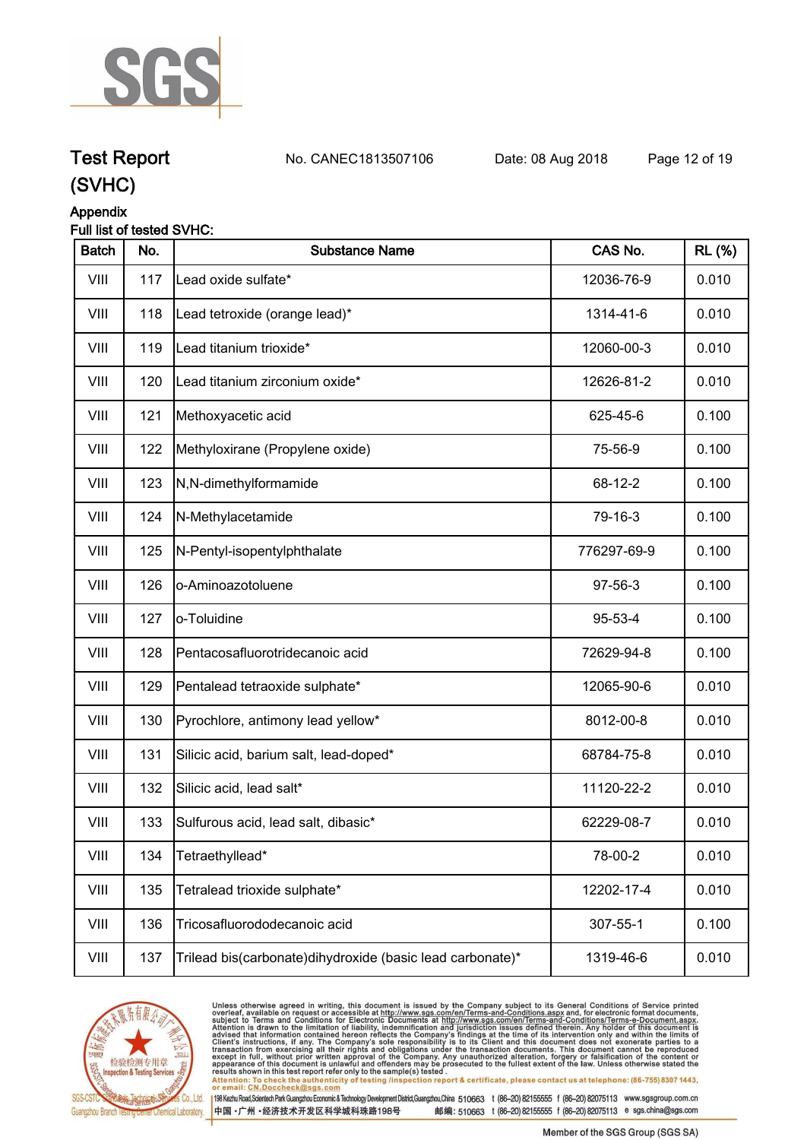

**Test Report. No. CANEC1813507106 Date: 08 Aug 2018. Page 12 of 19.**

### **(SVHC)**

### **Appendix**

#### **Full list of tested SVHC:**

| <b>Batch</b> | No. | <b>Substance Name</b>                                     | CAS No.     | <b>RL (%)</b> |
|--------------|-----|-----------------------------------------------------------|-------------|---------------|
| VIII         | 117 | Lead oxide sulfate*                                       | 12036-76-9  | 0.010         |
| VIII         | 118 | Lead tetroxide (orange lead)*                             | 1314-41-6   | 0.010         |
| VIII         | 119 | Lead titanium trioxide*                                   | 12060-00-3  | 0.010         |
| VIII         | 120 | Lead titanium zirconium oxide*                            | 12626-81-2  | 0.010         |
| VIII         | 121 | Methoxyacetic acid                                        | 625-45-6    | 0.100         |
| VIII         | 122 | Methyloxirane (Propylene oxide)                           | 75-56-9     | 0.100         |
| VIII         | 123 | N,N-dimethylformamide                                     | 68-12-2     | 0.100         |
| VIII         | 124 | N-Methylacetamide                                         | 79-16-3     | 0.100         |
| VIII         | 125 | N-Pentyl-isopentylphthalate                               | 776297-69-9 | 0.100         |
| VIII         | 126 | o-Aminoazotoluene                                         | 97-56-3     | 0.100         |
| VIII         | 127 | o-Toluidine                                               | 95-53-4     | 0.100         |
| VIII         | 128 | Pentacosafluorotridecanoic acid                           | 72629-94-8  | 0.100         |
| VIII         | 129 | Pentalead tetraoxide sulphate*                            | 12065-90-6  | 0.010         |
| VIII         | 130 | Pyrochlore, antimony lead yellow*                         | 8012-00-8   | 0.010         |
| VIII         | 131 | Silicic acid, barium salt, lead-doped*                    | 68784-75-8  | 0.010         |
| VIII         | 132 | Silicic acid, lead salt*                                  | 11120-22-2  | 0.010         |
| VIII         | 133 | Sulfurous acid, lead salt, dibasic*                       | 62229-08-7  | 0.010         |
| VIII         | 134 | Tetraethyllead*                                           | 78-00-2     | 0.010         |
| VIII         | 135 | Tetralead trioxide sulphate*                              | 12202-17-4  | 0.010         |
| VIII         | 136 | Tricosafluorododecanoic acid                              | 307-55-1    | 0.100         |
| VIII         | 137 | Trilead bis(carbonate)dihydroxide (basic lead carbonate)* | 1319-46-6   | 0.010         |



Unless otherwise agreed in writing, this document is issued by the Company subject to its General Conditions of Service printed<br>overleaf, available on request or accessible at http://www.sgs.com/en/Terms-and-Conditions.asp Attention: To check the authenticity of testing /inspection report & certificate, please contact us at telephone: (86-755) 8307 1443,<br>Attention: To check the authenticity of testing /inspection report & certificate, please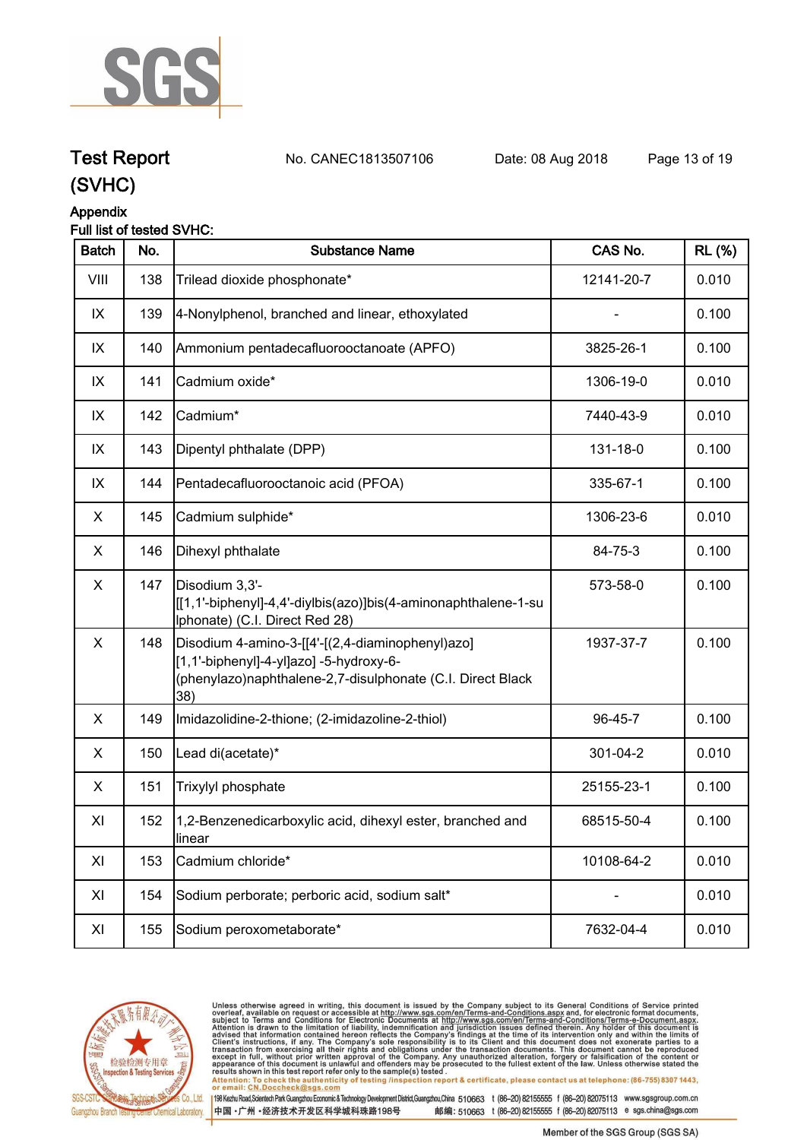

**Test Report. No. CANEC1813507106 Date: 08 Aug 2018. Page 13 of 19.**

### **(SVHC)**

### **Appendix**

#### **Full list of tested SVHC:**

| <b>Batch</b> | No. | <b>Substance Name</b>                                                                                                                                            | CAS No.    | <b>RL (%)</b> |
|--------------|-----|------------------------------------------------------------------------------------------------------------------------------------------------------------------|------------|---------------|
| VIII         | 138 | Trilead dioxide phosphonate*                                                                                                                                     | 12141-20-7 | 0.010         |
| IX           | 139 | 4-Nonylphenol, branched and linear, ethoxylated                                                                                                                  |            | 0.100         |
| IX           | 140 | Ammonium pentadecafluorooctanoate (APFO)                                                                                                                         | 3825-26-1  | 0.100         |
| IX           | 141 | Cadmium oxide*                                                                                                                                                   | 1306-19-0  | 0.010         |
| IX           | 142 | Cadmium*                                                                                                                                                         | 7440-43-9  | 0.010         |
| IX           | 143 | Dipentyl phthalate (DPP)                                                                                                                                         | 131-18-0   | 0.100         |
| IX           | 144 | Pentadecafluorooctanoic acid (PFOA)                                                                                                                              | 335-67-1   | 0.100         |
| X            | 145 | Cadmium sulphide*                                                                                                                                                | 1306-23-6  | 0.010         |
| X            | 146 | Dihexyl phthalate                                                                                                                                                | 84-75-3    | 0.100         |
| X            | 147 | Disodium 3,3'-<br>[[1,1'-biphenyl]-4,4'-diylbis(azo)]bis(4-aminonaphthalene-1-su<br>Iphonate) (C.I. Direct Red 28)                                               | 573-58-0   | 0.100         |
| X            | 148 | Disodium 4-amino-3-[[4'-[(2,4-diaminophenyl)azo]<br>[1,1'-biphenyl]-4-yl]azo] -5-hydroxy-6-<br>(phenylazo)naphthalene-2,7-disulphonate (C.I. Direct Black<br>38) | 1937-37-7  | 0.100         |
| X            | 149 | Imidazolidine-2-thione; (2-imidazoline-2-thiol)                                                                                                                  | 96-45-7    | 0.100         |
| X            | 150 | Lead di(acetate)*                                                                                                                                                | 301-04-2   | 0.010         |
| X            | 151 | Trixylyl phosphate                                                                                                                                               | 25155-23-1 | 0.100         |
| XI           | 152 | 1,2-Benzenedicarboxylic acid, dihexyl ester, branched and<br>linear                                                                                              | 68515-50-4 | 0.100         |
| XI           | 153 | Cadmium chloride*                                                                                                                                                | 10108-64-2 | 0.010         |
| XI           | 154 | Sodium perborate; perboric acid, sodium salt*                                                                                                                    |            | 0.010         |
| XI           | 155 | Sodium peroxometaborate*                                                                                                                                         | 7632-04-4  | 0.010         |



Unless otherwise agreed in writing, this document is issued by the Company subject to its General Conditions of Service printed<br>overleaf, available on request or accessible at http://www.sgs.com/en/Terms-and-Conditions.asp results shown in this test report refer only to the sample(s) tested .<br>Attention: To check the authenticity of testing /inspection report & certificate, please contact us at telephone: (86-755) 8307 1443,<br>or email: <u>CN.Doc</u>

198 Kezhu Road,Scientech Park Guangzhou Economic & Technology Development District,Guangzhou,China 510663 t (86-20) 82155555 f (86-20) 82075113 www.sgsgroup.com.cn 中国·广州·经济技术开发区科学城科珠路198号 邮编: 510663 t (86-20) 82155555 f (86-20) 82075113 e sgs.china@sgs.com

Member of the SGS Group (SGS SA)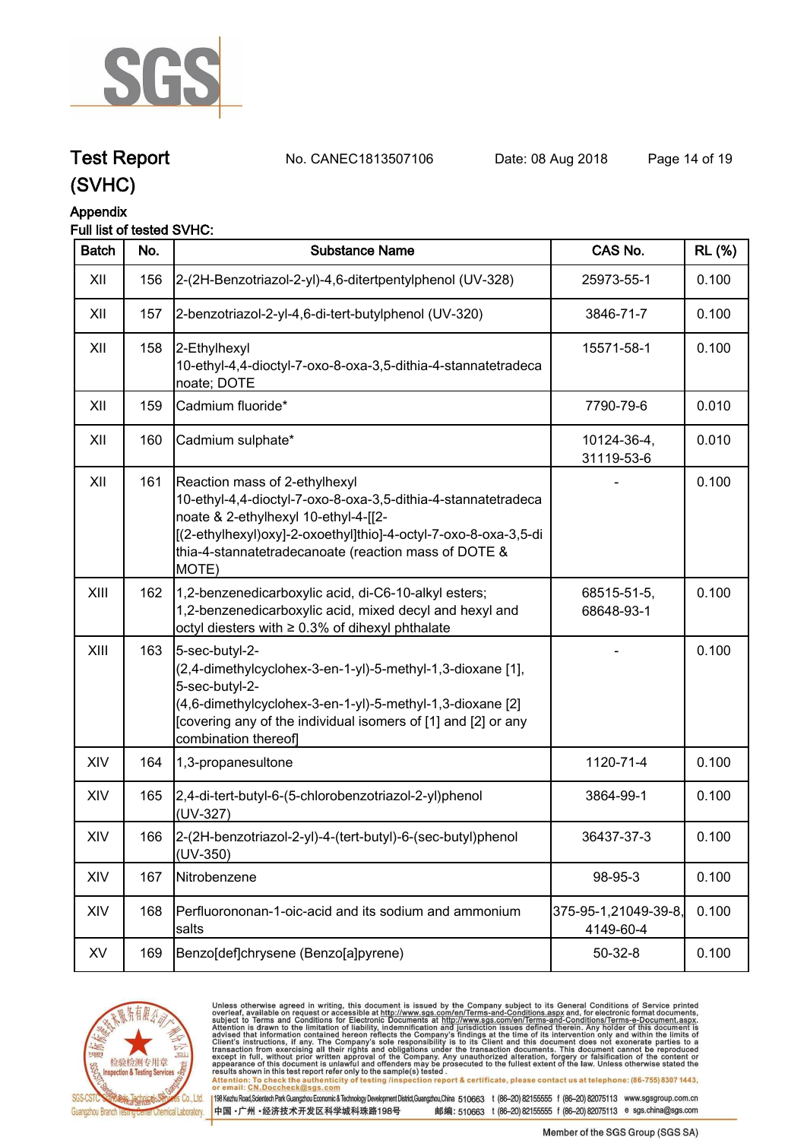

**Test Report. No. CANEC1813507106 Date: 08 Aug 2018. Page 14 of 19.**

### **(SVHC)**

#### **Appendix**

#### **Full list of tested SVHC:**

| <b>Batch</b> | No. | <b>Substance Name</b>                                                                                                                                                                                                                                                      | CAS No.                           | <b>RL</b> (%) |
|--------------|-----|----------------------------------------------------------------------------------------------------------------------------------------------------------------------------------------------------------------------------------------------------------------------------|-----------------------------------|---------------|
| XII          | 156 | 2-(2H-Benzotriazol-2-yl)-4,6-ditertpentylphenol (UV-328)                                                                                                                                                                                                                   | 25973-55-1                        | 0.100         |
| XII          | 157 | 2-benzotriazol-2-yl-4,6-di-tert-butylphenol (UV-320)                                                                                                                                                                                                                       | 3846-71-7                         | 0.100         |
| XII          | 158 | 2-Ethylhexyl<br>10-ethyl-4,4-dioctyl-7-oxo-8-oxa-3,5-dithia-4-stannatetradeca<br>noate; DOTE                                                                                                                                                                               | 15571-58-1                        | 0.100         |
| XII          | 159 | Cadmium fluoride*                                                                                                                                                                                                                                                          | 7790-79-6                         | 0.010         |
| XII          | 160 | Cadmium sulphate*                                                                                                                                                                                                                                                          | 10124-36-4,<br>31119-53-6         | 0.010         |
| XII          | 161 | Reaction mass of 2-ethylhexyl<br>10-ethyl-4,4-dioctyl-7-oxo-8-oxa-3,5-dithia-4-stannatetradeca<br>noate & 2-ethylhexyl 10-ethyl-4-[[2-<br>[(2-ethylhexyl)oxy]-2-oxoethyl]thio]-4-octyl-7-oxo-8-oxa-3,5-di<br>thia-4-stannatetradecanoate (reaction mass of DOTE &<br>MOTE) |                                   | 0.100         |
| XIII         | 162 | 1,2-benzenedicarboxylic acid, di-C6-10-alkyl esters;<br>1,2-benzenedicarboxylic acid, mixed decyl and hexyl and<br>octyl diesters with ≥ 0.3% of dihexyl phthalate                                                                                                         | 68515-51-5,<br>68648-93-1         | 0.100         |
| XIII         | 163 | 5-sec-butyl-2-<br>(2,4-dimethylcyclohex-3-en-1-yl)-5-methyl-1,3-dioxane [1],<br>5-sec-butyl-2-<br>(4,6-dimethylcyclohex-3-en-1-yl)-5-methyl-1,3-dioxane [2]<br>[covering any of the individual isomers of [1] and [2] or any<br>combination thereof                        |                                   | 0.100         |
| XIV          | 164 | 1,3-propanesultone                                                                                                                                                                                                                                                         | 1120-71-4                         | 0.100         |
| XIV          | 165 | 2,4-di-tert-butyl-6-(5-chlorobenzotriazol-2-yl)phenol<br>(UV-327)                                                                                                                                                                                                          | 3864-99-1                         | 0.100         |
| XIV          | 166 | 2-(2H-benzotriazol-2-yl)-4-(tert-butyl)-6-(sec-butyl)phenol<br>(UV-350)                                                                                                                                                                                                    | 36437-37-3                        | 0.100         |
| XIV          | 167 | Nitrobenzene                                                                                                                                                                                                                                                               | 98-95-3                           | 0.100         |
| XIV          | 168 | Perfluorononan-1-oic-acid and its sodium and ammonium<br>salts                                                                                                                                                                                                             | 375-95-1,21049-39-8,<br>4149-60-4 | 0.100         |
| XV           | 169 | Benzo[def]chrysene (Benzo[a]pyrene)                                                                                                                                                                                                                                        | $50 - 32 - 8$                     | 0.100         |



Unless otherwise agreed in writing, this document is issued by the Company subject to its General Conditions of Service printed<br>overleaf, available on request or accessible at http://www.sgs.com/en/Terms-and-Conditions.asp

results shown in this test report refer only to the sample(s) tested .<br>Attention: To check the authenticity of testing /inspection report & certificate, please contact us at telephone: (86-755) 8307 1443,<br>or email: <u>CN.Doc</u>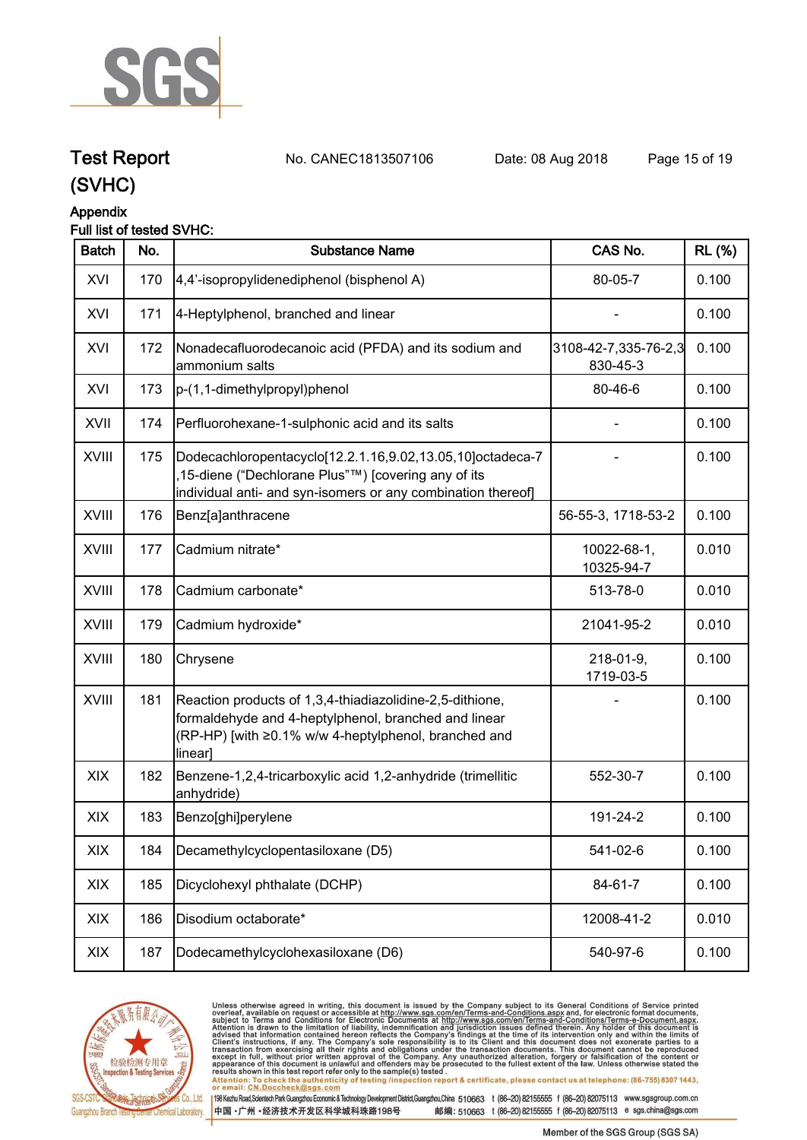

**Test Report. No. CANEC1813507106 Date: 08 Aug 2018. Page 15 of 19.**

### **(SVHC)**

#### **Appendix**

#### **Full list of tested SVHC:**

| <b>Batch</b> | No. | <b>Substance Name</b>                                                                                                                                                               | CAS No.                          | <b>RL</b> (%) |
|--------------|-----|-------------------------------------------------------------------------------------------------------------------------------------------------------------------------------------|----------------------------------|---------------|
| XVI          | 170 | 4,4'-isopropylidenediphenol (bisphenol A)                                                                                                                                           | 80-05-7                          | 0.100         |
| XVI          | 171 | 4-Heptylphenol, branched and linear                                                                                                                                                 |                                  | 0.100         |
| XVI          | 172 | Nonadecafluorodecanoic acid (PFDA) and its sodium and<br>ammonium salts                                                                                                             | 3108-42-7,335-76-2,3<br>830-45-3 | 0.100         |
| XVI          | 173 | p-(1,1-dimethylpropyl)phenol                                                                                                                                                        | 80-46-6                          | 0.100         |
| XVII         | 174 | Perfluorohexane-1-sulphonic acid and its salts                                                                                                                                      |                                  | 0.100         |
| XVIII        | 175 | Dodecachloropentacyclo[12.2.1.16,9.02,13.05,10]octadeca-7<br>15-diene ("Dechlorane Plus"™) [covering any of its<br>individual anti- and syn-isomers or any combination thereof]     |                                  | 0.100         |
| XVIII        | 176 | Benz[a]anthracene                                                                                                                                                                   | 56-55-3, 1718-53-2               | 0.100         |
| XVIII        | 177 | Cadmium nitrate*                                                                                                                                                                    | 10022-68-1,<br>10325-94-7        | 0.010         |
| <b>XVIII</b> | 178 | Cadmium carbonate*                                                                                                                                                                  | 513-78-0                         | 0.010         |
| <b>XVIII</b> | 179 | Cadmium hydroxide*                                                                                                                                                                  | 21041-95-2                       | 0.010         |
| <b>XVIII</b> | 180 | Chrysene                                                                                                                                                                            | 218-01-9,<br>1719-03-5           | 0.100         |
| XVIII        | 181 | Reaction products of 1,3,4-thiadiazolidine-2,5-dithione,<br>formaldehyde and 4-heptylphenol, branched and linear<br>(RP-HP) [with ≥0.1% w/w 4-heptylphenol, branched and<br>linear] |                                  | 0.100         |
| XIX          | 182 | Benzene-1,2,4-tricarboxylic acid 1,2-anhydride (trimellitic<br>anhydride)                                                                                                           | 552-30-7                         | 0.100         |
| XIX          | 183 | Benzo[ghi]perylene                                                                                                                                                                  | 191-24-2                         | 0.100         |
| XIX          | 184 | Decamethylcyclopentasiloxane (D5)                                                                                                                                                   | 541-02-6                         | 0.100         |
| XIX          | 185 | Dicyclohexyl phthalate (DCHP)                                                                                                                                                       | 84-61-7                          | 0.100         |
| XIX          | 186 | Disodium octaborate*                                                                                                                                                                | 12008-41-2                       | 0.010         |
| XIX          | 187 | Dodecamethylcyclohexasiloxane (D6)                                                                                                                                                  | 540-97-6                         | 0.100         |



Unless otherwise agreed in writing, this document is issued by the Company subject to its General Conditions of Service printed<br>overleaf, available on request or accessible at http://www.sgs.com/en/Terms-and-Conditions.asp results shown in this test report refer only to the sample(s) tested .<br>Attention: To check the authenticity of testing /inspection report & certificate, please contact us at telephone: (86-755) 8307 1443,<br>or email: <u>CN.Doc</u>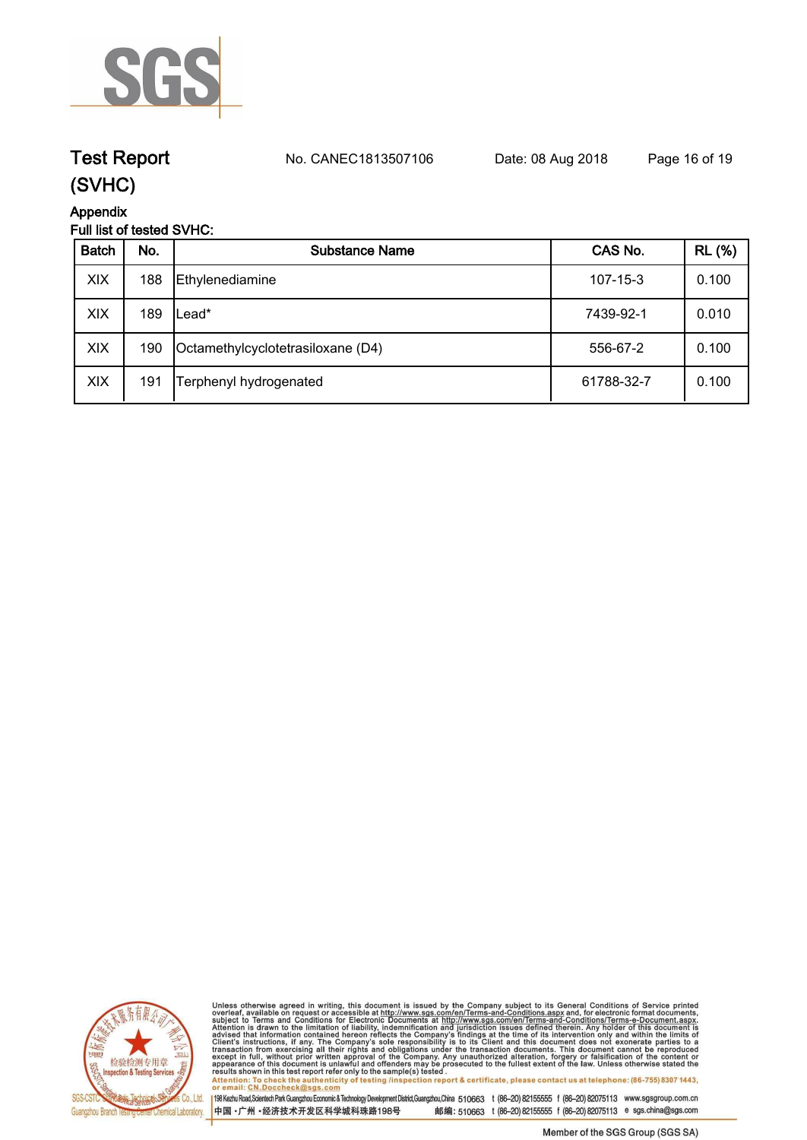

## **Test Report. No. CANEC1813507106 Date: 08 Aug 2018. Page 16 of 19.**

### **(SVHC)**

**Appendix**

### **Full list of tested SVHC:**

| <b>Batch</b> | No. | <b>Substance Name</b>             | CAS No.        | <b>RL</b> (%) |
|--------------|-----|-----------------------------------|----------------|---------------|
| XIX          | 188 | Ethylenediamine                   | $107 - 15 - 3$ | 0.100         |
| XIX          | 189 | Lead*                             | 7439-92-1      | 0.010         |
| XIX          | 190 | Octamethylcyclotetrasiloxane (D4) | 556-67-2       | 0.100         |
| XIX          | 191 | Terphenyl hydrogenated            | 61788-32-7     | 0.100         |



Unless otherwise agreed in writing, this document is issued by the Company subject to its General Conditions of Service printed<br>overleaf, available on request or accessible at http://www.sgs.com/en/Terms-and-Conditions.as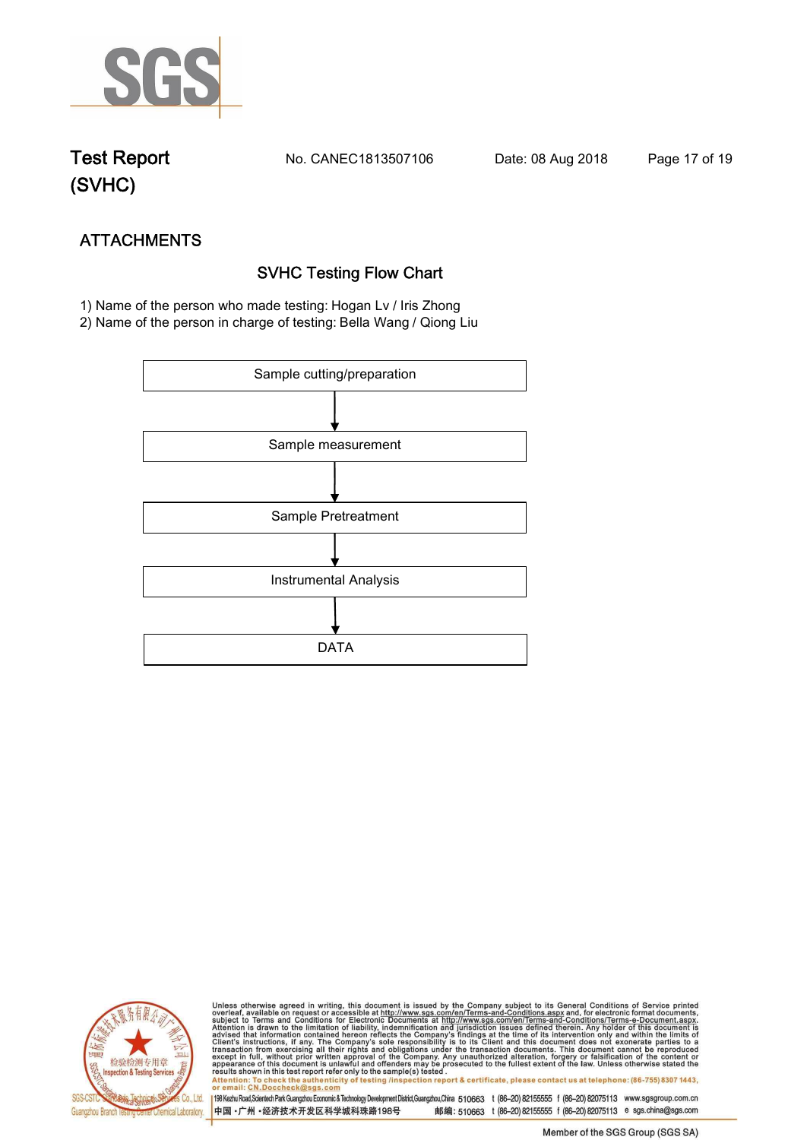

**Test Report. No. CANEC1813507106 Date: 08 Aug 2018. Page 17 of 19.**

## **(SVHC)**

## **ATTACHMENTS SVHC Testing Flow Chart**

 **1) Name of the person who made testing: Hogan Lv / Iris Zhong**

**2) Name of the person in charge of testing: Bella Wang / Qiong Liu**





Unless otherwise agreed in writing, this document is issued by the Company subject to its General Conditions of Service printed<br>overleaf, available on request or accessible at http://www.sgs.com/en/Terms-and-Conditions.asp Attention: To check the authenticity of testing /inspection report & certificate, please contact us at telephone: (86-755) 8307 1443,<br>Attention: To check the authenticity of testing /inspection report & certificate, please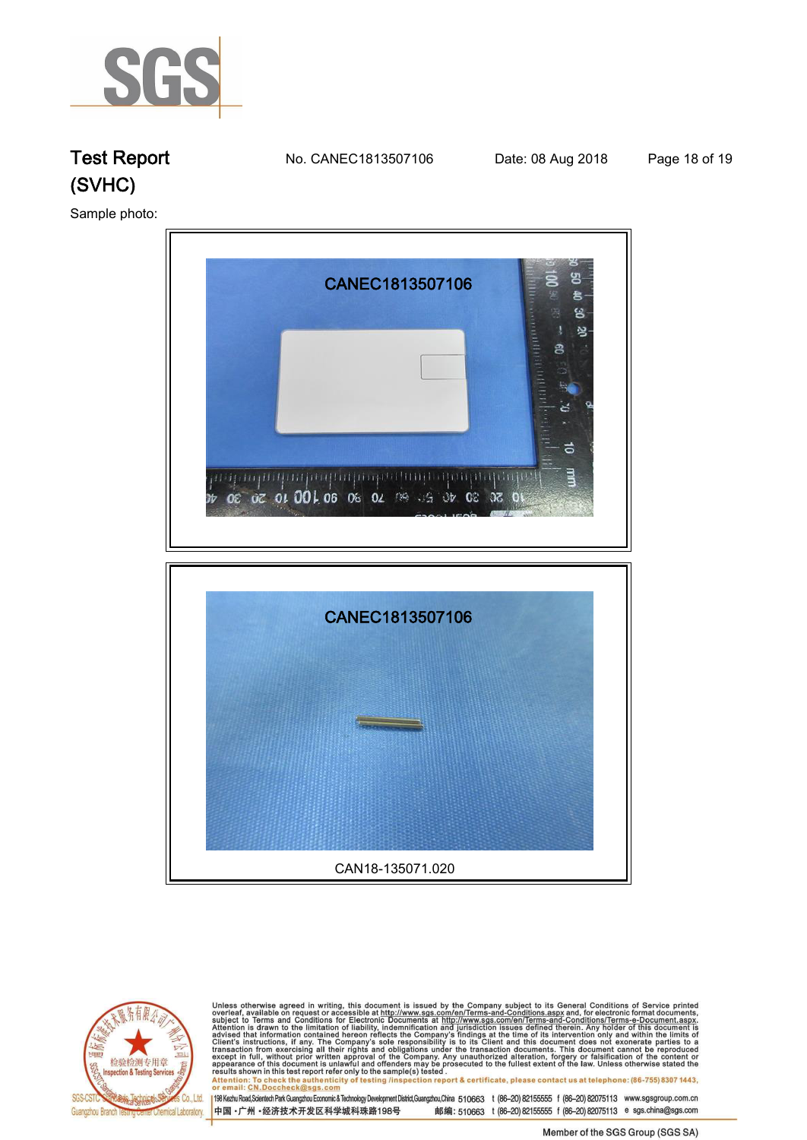

**Test Report. No. CANEC1813507106 Date: 08 Aug 2018. Page 18 of 19.**

**Sample photo:.**





Unless otherwise agreed in writing, this document is issued by the Company subject to its General Conditions of Service printed<br>overleaf, available on request or accessible at http://www.sgs.com/en/Terms-and-Conditions.asp results shown in this test report refer only to the sample(s) tested .<br>Attention : To check the authenticity of testing /inspection report & certificate, please contact us at telephone: (86-755) 8307 1443,<br>or email: <u>CN.Do</u>

198 Kezhu Road,Scientech Park Guangzhou Economic & Technology Development District,Guangzhou,China 510663 t (86-20) 82155555 f (86-20) 82075113 www.sgsgroup.com.cn 中国·广州·经济技术开发区科学城科珠路198号 邮编: 510663 t (86-20) 82155555 f (86-20) 82075113 e sgs.china@sgs.com

Member of the SGS Group (SGS SA)